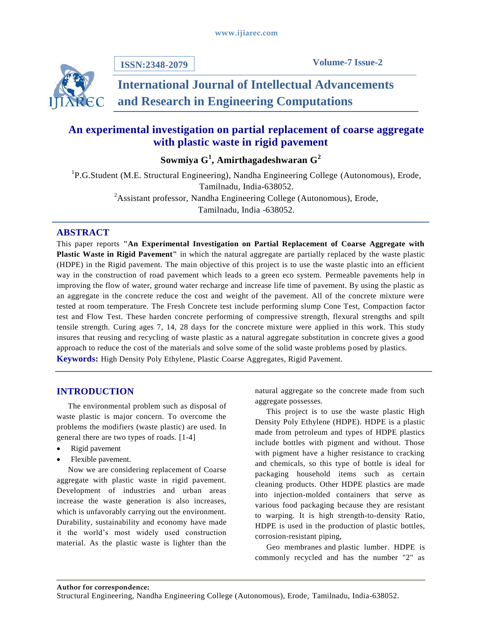**ISSN:2348-2079**

**Volume-7 Issue-2**

# **International Journal of Intellectual Advancements and Research in Engineering Computations**

## **An experimental investigation on partial replacement of coarse aggregate with plastic waste in rigid pavement**

**Sowmiya G<sup>1</sup> , Amirthagadeshwaran G<sup>2</sup>**

<sup>1</sup>P.G.Student (M.E. Structural Engineering), Nandha Engineering College (Autonomous), Erode, Tamilnadu, India-638052.  $2A$ ssistant professor, Nandha Engineering College (Autonomous), Erode, Tamilnadu, India -638052.

## **ABSTRACT**

This paper reports **"An Experimental Investigation on Partial Replacement of Coarse Aggregate with Plastic Waste in Rigid Pavement"** in which the natural aggregate are partially replaced by the waste plastic (HDPE) in the Rigid pavement. The main objective of this project is to use the waste plastic into an efficient way in the construction of road pavement which leads to a green eco system. Permeable pavements help in improving the flow of water, ground water recharge and increase life time of pavement. By using the plastic as an aggregate in the concrete reduce the cost and weight of the pavement. All of the concrete mixture were tested at room temperature. The Fresh Concrete test include performing slump Cone Test, Compaction factor test and Flow Test. These harden concrete performing of compressive strength, flexural strengths and spilt tensile strength. Curing ages 7, 14, 28 days for the concrete mixture were applied in this work. This study insures that reusing and recycling of waste plastic as a natural aggregate substitution in concrete gives a good approach to reduce the cost of the materials and solve some of the solid waste problems posed by plastics. **Keywords:** High Density Poly Ethylene, Plastic Coarse Aggregates, Rigid Pavement.

**INTRODUCTION**

The environmental problem such as disposal of waste plastic is major concern. To overcome the problems the modifiers (waste plastic) are used. In general there are two types of roads. [1-4]

- Rigid pavement
- Flexible pavement.

Now we are considering replacement of Coarse aggregate with plastic waste in rigid pavement. Development of industries and urban areas increase the waste generation is also increases, which is unfavorably carrying out the environment. Durability, sustainability and economy have made it the world's most widely used construction material. As the plastic waste is lighter than the

natural aggregate so the concrete made from such aggregate possesses.

This project is to use the waste plastic High Density Poly Ethylene (HDPE). HDPE is a plastic made from petroleum and types of HDPE plastics include bottles with pigment and without. Those with pigment have a higher resistance to cracking and chemicals, so this type of bottle is ideal for packaging household items such as certain cleaning products. Other HDPE plastics are made into injection-molded containers that serve as various food packaging because they are resistant to warping. It is high strength-to-density Ratio, HDPE is used in the production of plastic bottles, corrosion-resistant piping,

Geo membranes and plastic lumber. HDPE is commonly recycled and has the number "2" as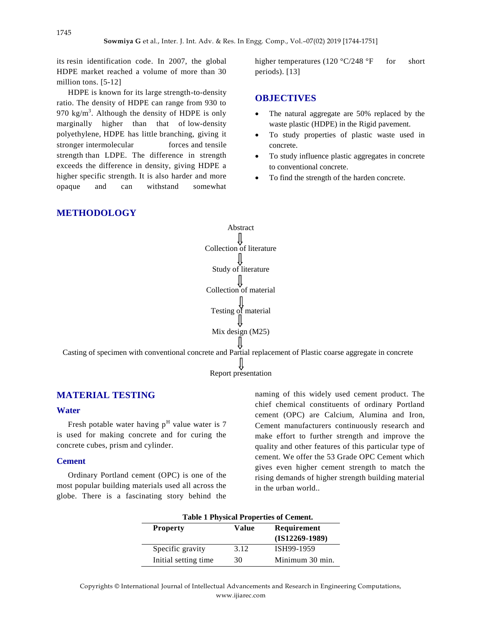its resin identification code. In 2007, the global HDPE market reached a volume of more than 30 million tons. [5-12]

HDPE is known for its large strength-to-density ratio. The density of HDPE can range from 930 to 970 kg/m<sup>3</sup>. Although the density of HDPE is only marginally higher than that of low-density polyethylene, HDPE has little branching, giving it stronger intermolecular forces and tensile strength than LDPE. The difference in strength exceeds the difference in density, giving HDPE a higher specific strength. It is also harder and more opaque and can withstand somewhat

higher temperatures (120  $\textdegree$ C/248  $\textdegree$ F for short periods). [13]

### **OBJECTIVES**

- The natural aggregate are 50% replaced by the waste plastic (HDPE) in the Rigid pavement.
- To study properties of plastic waste used in concrete.
- To study influence plastic aggregates in concrete to conventional concrete.
- To find the strength of the harden concrete.

## **METHODOLOGY**



Casting of specimen with conventional concrete and Partial replacement of Plastic coarse aggregate in concrete

 $\bigcup_{\text{Report presentation}}$ 

## **MATERIAL TESTING**

#### **Water**

Fresh potable water having  $p<sup>H</sup>$  value water is 7 is used for making concrete and for curing the concrete cubes, prism and cylinder.

#### **Cement**

Ordinary Portland cement (OPC) is one of the most popular building materials used all across the globe. There is a fascinating story behind the

naming of this widely used cement product. The chief chemical constituents of ordinary Portland cement (OPC) are Calcium, Alumina and Iron, Cement manufacturers continuously research and make effort to further strength and improve the quality and other features of this particular type of cement. We offer the 53 Grade OPC Cement which gives even higher cement strength to match the rising demands of higher strength building material in the urban world..

|                       |       | Table 1 Physical Properties of Cement. |
|-----------------------|-------|----------------------------------------|
| <b>Property</b>       | Value | Requirement                            |
|                       |       | $(IS12269-1989)$                       |
| Specific gravity      | 3.12  | ISH99-1959                             |
| Initial setting time. | 30    | Minimum 30 min.                        |

**Table 1 Physical Properties of Cement.**

Copyrights © International Journal of Intellectual Advancements and Research in Engineering Computations, www.ijiarec.com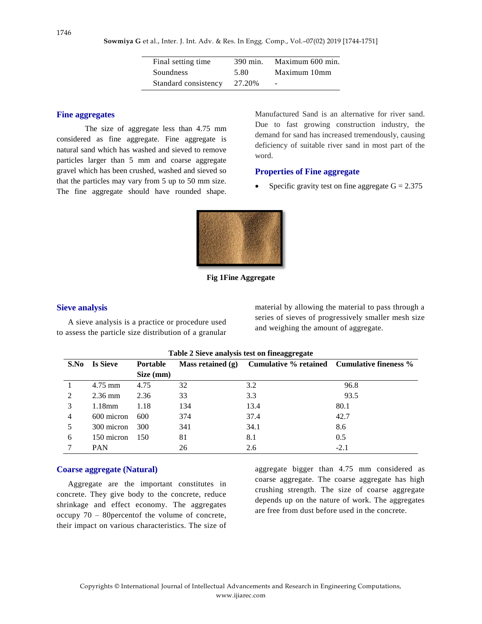**Sowmiya G** et al., Inter. J. Int. Adv. & Res. In Engg. Comp., Vol.–07(02) 2019 [1744-1751]

| Final setting time   | 390 min. | Maximum 600 min. |
|----------------------|----------|------------------|
| Soundness            | 5.80     | Maximum 10mm     |
| Standard consistency | 27.20%   |                  |

#### **Fine aggregates**

The size of aggregate less than 4.75 mm considered as fine aggregate. Fine aggregate is natural sand which has washed and sieved to remove particles larger than 5 mm and coarse aggregate gravel which has been crushed, washed and sieved so that the particles may vary from 5 up to 50 mm size. The fine aggregate should have rounded shape. Manufactured Sand is an alternative for river sand. Due to fast growing construction industry, the demand for sand has increased tremendously, causing deficiency of suitable river sand in most part of the word.

### **Properties of Fine aggregate**

Specific gravity test on fine aggregate  $G = 2.375$ 



**Fig 1Fine Aggregate**

#### **Sieve analysis**

A sieve analysis is a practice or procedure used to assess the particle size distribution of a granular material by allowing the material to pass through a series of sieves of progressively smaller mesh size and weighing the amount of aggregate.

|      |                 |                 |                     | Table 2 Sieve analysis test on inicagglegate |        |
|------|-----------------|-----------------|---------------------|----------------------------------------------|--------|
| S.No | <b>Is Sieve</b> | <b>Portable</b> | Mass retained $(g)$ | Cumulative % retained Cumulative fineness %  |        |
|      |                 | Size (mm)       |                     |                                              |        |
|      | $4.75$ mm       | 4.75            | 32                  | 3.2                                          | 96.8   |
| 2    | $2.36$ mm       | 2.36            | 33                  | 3.3                                          | 93.5   |
| 3    | $1.18$ mm       | 1.18            | 134                 | 13.4                                         | 80.1   |
| 4    | 600 micron      | 600             | 374                 | 37.4                                         | 42.7   |
|      | 300 micron      | 300             | 341                 | 34.1                                         | 8.6    |
| 6    | 150 micron      | 150             | 81                  | 8.1                                          | 0.5    |
|      | <b>PAN</b>      |                 | 26                  | 2.6                                          | $-2.1$ |

#### **Table 2 Sieve analysis test on fineaggregate**

#### **Coarse aggregate (Natural)**

Aggregate are the important constitutes in concrete. They give body to the concrete, reduce shrinkage and effect economy. The aggregates occupy 70 – 80percentof the volume of concrete, their impact on various characteristics. The size of aggregate bigger than 4.75 mm considered as coarse aggregate. The coarse aggregate has high crushing strength. The size of coarse aggregate depends up on the nature of work. The aggregates are free from dust before used in the concrete.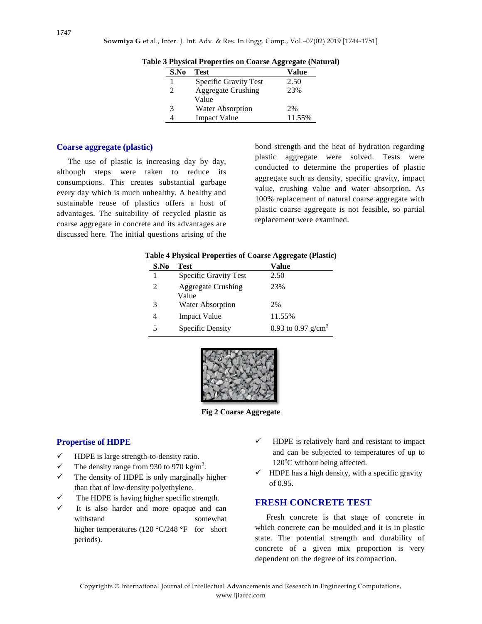| S.No           | Test                      | Value  |
|----------------|---------------------------|--------|
|                | Specific Gravity Test     | 2.50   |
| $\mathfrak{D}$ | <b>Aggregate Crushing</b> | 23%    |
|                | Value                     |        |
| 3              | <b>Water Absorption</b>   | 2%     |
|                | <b>Impact Value</b>       | 11.55% |

**Table 3 Physical Properties on Coarse Aggregate (Natural)**

#### **Coarse aggregate (plastic)**

The use of plastic is increasing day by day, although steps were taken to reduce its consumptions. This creates substantial garbage every day which is much unhealthy. A healthy and sustainable reuse of plastics offers a host of advantages. The suitability of recycled plastic as coarse aggregate in concrete and its advantages are discussed here. The initial questions arising of the

bond strength and the heat of hydration regarding plastic aggregate were solved. Tests were conducted to determine the properties of plastic aggregate such as density, specific gravity, impact value, crushing value and water absorption. As 100% replacement of natural coarse aggregate with plastic coarse aggregate is not feasible, so partial replacement were examined.

|      | adie 4 Physical Properties of Coarse Aggregate (Piastic) |                       |
|------|----------------------------------------------------------|-----------------------|
| S.No | Test                                                     | Value                 |
|      | Specific Gravity Test                                    | 2.50                  |
| 2    | <b>Aggregate Crushing</b><br>Value                       | 23%                   |
| 3    | <b>Water Absorption</b>                                  | 2%                    |
| 4    | <b>Impact Value</b>                                      | 11.55%                |
| 5    | Specific Density                                         | 0.93 to 0.97 $g/cm^3$ |

**Table 4 Physical Properties of Coarse Aggregate (Plastic)**



**Fig 2 Coarse Aggregate**

### **Propertise of HDPE**

- $\checkmark$  HDPE is large strength-to-density ratio.
- $\checkmark$  The density range from 930 to 970 kg/m<sup>3</sup>.
- $\checkmark$  The density of HDPE is only marginally higher than that of low-density polyethylene.
- The HDPE is having higher specific strength.
- It is also harder and more opaque and can withstand somewhat higher temperatures (120 °C/248 °F for short periods).
- HDPE is relatively hard and resistant to impact and can be subjected to temperatures of up to  $120^{\circ}$ C without being affected.
- HDPE has a high density, with a specific gravity of 0.95.

## **FRESH CONCRETE TEST**

Fresh concrete is that stage of concrete in which concrete can be moulded and it is in plastic state. The potential strength and durability of concrete of a given mix proportion is very dependent on the degree of its compaction.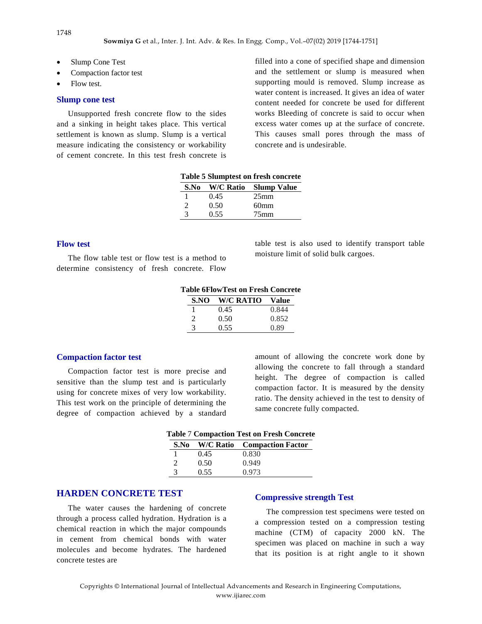- Slump Cone Test
- Compaction factor test
- Flow test.

#### **Slump cone test**

Unsupported fresh concrete flow to the sides and a sinking in height takes place. This vertical settlement is known as slump. Slump is a vertical measure indicating the consistency or workability of cement concrete. In this test fresh concrete is filled into a cone of specified shape and dimension and the settlement or slump is measured when supporting mould is removed. Slump increase as water content is increased. It gives an idea of water content needed for concrete be used for different works Bleeding of concrete is said to occur when excess water comes up at the surface of concrete. This causes small pores through the mass of concrete and is undesirable.

|               |      | Table 5 Stumptest on Hesn concrete |
|---------------|------|------------------------------------|
| S.No          |      | <b>W/C Ratio</b> Slump Value       |
|               | 0.45 | 25 <sub>mm</sub>                   |
| $\mathcal{D}$ | 0.50 | 60 <sub>mm</sub>                   |
| 3             | 0.55 | 75 <sub>mm</sub>                   |

**Table 5 Slumptest on fresh concrete**

#### **Flow test**

The flow table test or flow test is a method to determine consistency of fresh concrete. Flow table test is also used to identify transport table moisture limit of solid bulk cargoes.

|               | <b>Table 6FlowTest on Fresh Concrete</b> |       |
|---------------|------------------------------------------|-------|
| S.NO          | <b>W/C RATIO</b>                         | Value |
|               | 0.45                                     | 0.844 |
| 2             | 0.50                                     | 0.852 |
| $\mathcal{R}$ | 0.55                                     | 0.89  |

### **Compaction factor test**

Compaction factor test is more precise and sensitive than the slump test and is particularly using for concrete mixes of very low workability. This test work on the principle of determining the degree of compaction achieved by a standard amount of allowing the concrete work done by allowing the concrete to fall through a standard height. The degree of compaction is called compaction factor. It is measured by the density ratio. The density achieved in the test to density of same concrete fully compacted.

|               |      | <b>Table 7 Compaction Test on Fresh Concrete</b> |
|---------------|------|--------------------------------------------------|
|               |      | S.No W/C Ratio Compaction Factor                 |
|               | 0.45 | 0.830                                            |
| $\mathcal{D}$ | 0.50 | 0.949                                            |
| 3             | 0.55 | 0.973                                            |

## **HARDEN CONCRETE TEST**

The water causes the hardening of concrete through a process called hydration. Hydration is a chemical reaction in which the major compounds in cement from chemical bonds with water molecules and become hydrates. The hardened concrete testes are

#### **Compressive strength Test**

The compression test specimens were tested on a compression tested on a compression testing machine (CTM) of capacity 2000 kN. The specimen was placed on machine in such a way that its position is at right angle to it shown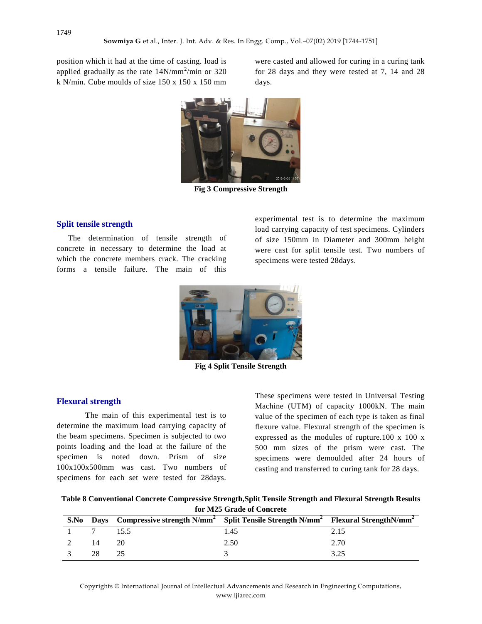position which it had at the time of casting. load is applied gradually as the rate  $14N/mm^2/min$  or 320 k N/min. Cube moulds of size 150 x 150 x 150 mm

were casted and allowed for curing in a curing tank for 28 days and they were tested at 7, 14 and 28 days.



**Fig 3 Compressive Strength**

### **Split tensile strength**

The determination of tensile strength of concrete in necessary to determine the load at which the concrete members crack. The cracking forms a tensile failure. The main of this experimental test is to determine the maximum load carrying capacity of test specimens. Cylinders of size 150mm in Diameter and 300mm height were cast for split tensile test. Two numbers of specimens were tested 28days.



**Fig 4 Split Tensile Strength**

#### **Flexural strength**

**T**he main of this experimental test is to determine the maximum load carrying capacity of the beam specimens. Specimen is subjected to two points loading and the load at the failure of the specimen is noted down. Prism of size 100x100x500mm was cast. Two numbers of specimens for each set were tested for 28days.

These specimens were tested in Universal Testing Machine (UTM) of capacity 1000kN. The main value of the specimen of each type is taken as final flexure value. Flexural strength of the specimen is expressed as the modules of rupture.100 x 100 x 500 mm sizes of the prism were cast. The specimens were demoulded after 24 hours of casting and transferred to curing tank for 28 days.

| Table 8 Conventional Concrete Compressive Strength, Split Tensile Strength and Flexural Strength Results |
|----------------------------------------------------------------------------------------------------------|
| for M25 Grade of Concrete                                                                                |

| S.No          |    | Days Compressive strength N/mm <sup>2</sup> Split Tensile Strength N/mm <sup>2</sup> Flexural Strength N/mm <sup>2</sup> |      |      |
|---------------|----|--------------------------------------------------------------------------------------------------------------------------|------|------|
|               |    | 15.5                                                                                                                     | 1.45 | 2.15 |
|               | 14 | 20                                                                                                                       | 2.50 | 2.70 |
| $\sim$ $\sim$ | 28 | 25                                                                                                                       |      | 3.25 |

Copyrights © International Journal of Intellectual Advancements and Research in Engineering Computations, www.ijiarec.com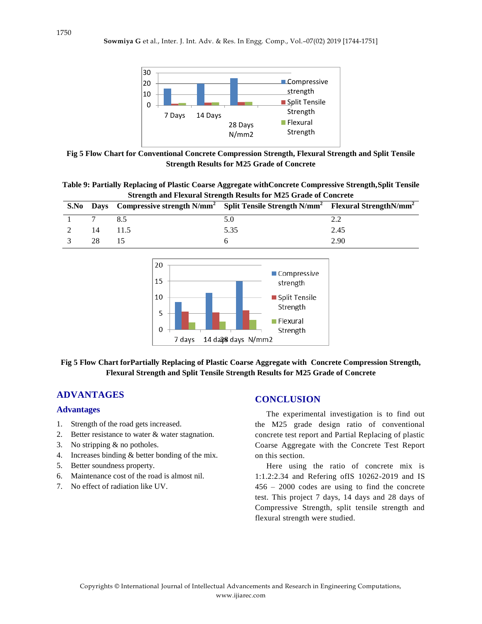

**Fig 5 Flow Chart for Conventional Concrete Compression Strength, Flexural Strength and Split Tensile Strength Results for M25 Grade of Concrete**

**Table 9: Partially Replacing of Plastic Coarse Aggregate withConcrete Compressive Strength,Split Tensile Strength and Flexural Strength Results for M25 Grade of Concrete**

| S.No |    |      | Days Compressive strength $N/mm^2$ Split Tensile Strength $N/mm^2$ Flexural Strength $N/mm^2$ |      |
|------|----|------|-----------------------------------------------------------------------------------------------|------|
|      |    |      |                                                                                               |      |
|      |    | 11.5 | 5.35                                                                                          | 2.45 |
|      | 28 |      |                                                                                               | 2.90 |



## **Fig 5 Flow Chart forPartially Replacing of Plastic Coarse Aggregate with Concrete Compression Strength, Flexural Strength and Split Tensile Strength Results for M25 Grade of Concrete**

## **ADVANTAGES**

## **Advantages**

- 1. Strength of the road gets increased.
- 2. Better resistance to water & water stagnation.
- 3. No stripping & no potholes.
- 4. Increases binding & better bonding of the mix.
- 5. Better soundness property.
- 6. Maintenance cost of the road is almost nil.
- 7. No effect of radiation like UV.

## **CONCLUSION**

The experimental investigation is to find out the M25 grade design ratio of conventional concrete test report and Partial Replacing of plastic Coarse Aggregate with the Concrete Test Report on this section.

Here using the ratio of concrete mix is 1:1.2:2.34 and Refering ofIS 10262-2019 and IS 456 – 2000 codes are using to find the concrete test. This project 7 days, 14 days and 28 days of Compressive Strength, split tensile strength and flexural strength were studied.